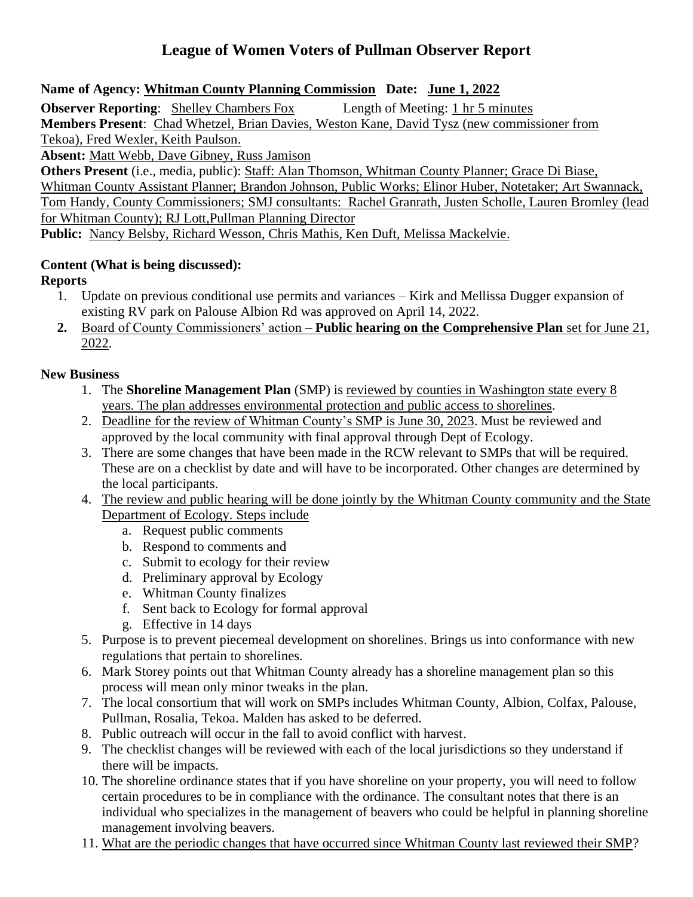## **League of Women Voters of Pullman Observer Report**

**Name of Agency: Whitman County Planning Commission Date: June 1, 2022**

**Observer Reporting:** Shelley Chambers Fox Length of Meeting: 1 hr 5 minutes **Members Present**: Chad Whetzel, Brian Davies, Weston Kane, David Tysz (new commissioner from Tekoa), Fred Wexler, Keith Paulson.

**Absent:** Matt Webb, Dave Gibney, Russ Jamison

**Others Present** (i.e., media, public): Staff: Alan Thomson, Whitman County Planner; Grace Di Biase, Whitman County Assistant Planner; Brandon Johnson, Public Works; Elinor Huber, Notetaker; Art Swannack, Tom Handy, County Commissioners; SMJ consultants: Rachel Granrath, Justen Scholle, Lauren Bromley (lead for Whitman County); RJ Lott,Pullman Planning Director **Public:** Nancy Belsby, Richard Wesson, Chris Mathis, Ken Duft, Melissa Mackelvie.

## **Content (What is being discussed):**

**Reports**

- 1. Update on previous conditional use permits and variances Kirk and Mellissa Dugger expansion of existing RV park on Palouse Albion Rd was approved on April 14, 2022.
- **2.** Board of County Commissioners' action **Public hearing on the Comprehensive Plan** set for June 21, 2022.

## **New Business**

- 1. The **Shoreline Management Plan** (SMP) is reviewed by counties in Washington state every 8 years. The plan addresses environmental protection and public access to shorelines.
- 2. Deadline for the review of Whitman County's SMP is June 30, 2023. Must be reviewed and approved by the local community with final approval through Dept of Ecology.
- 3. There are some changes that have been made in the RCW relevant to SMPs that will be required. These are on a checklist by date and will have to be incorporated. Other changes are determined by the local participants.
- 4. The review and public hearing will be done jointly by the Whitman County community and the State Department of Ecology. Steps include
	- a. Request public comments
	- b. Respond to comments and
	- c. Submit to ecology for their review
	- d. Preliminary approval by Ecology
	- e. Whitman County finalizes
	- f. Sent back to Ecology for formal approval
	- g. Effective in 14 days
- 5. Purpose is to prevent piecemeal development on shorelines. Brings us into conformance with new regulations that pertain to shorelines.
- 6. Mark Storey points out that Whitman County already has a shoreline management plan so this process will mean only minor tweaks in the plan.
- 7. The local consortium that will work on SMPs includes Whitman County, Albion, Colfax, Palouse, Pullman, Rosalia, Tekoa. Malden has asked to be deferred.
- 8. Public outreach will occur in the fall to avoid conflict with harvest.
- 9. The checklist changes will be reviewed with each of the local jurisdictions so they understand if there will be impacts.
- 10. The shoreline ordinance states that if you have shoreline on your property, you will need to follow certain procedures to be in compliance with the ordinance. The consultant notes that there is an individual who specializes in the management of beavers who could be helpful in planning shoreline management involving beavers.
- 11. What are the periodic changes that have occurred since Whitman County last reviewed their SMP?